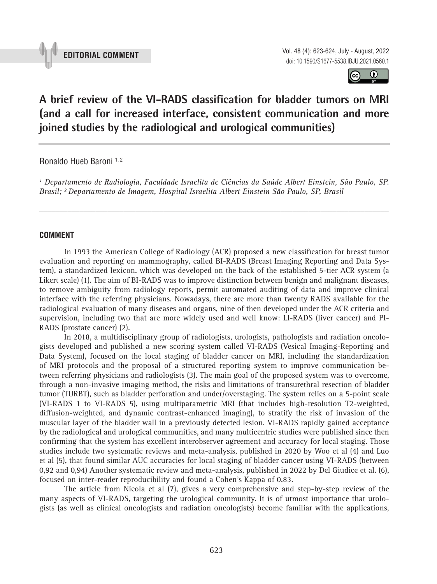

 $\odot$  $(cc)$ 

# **A brief review of the VI-RADS classification for bladder tumors on MRI (and a call for increased interface, consistent communication and more joined studies by the radiological and urological communities) \_\_\_\_\_\_\_\_\_\_\_\_\_\_\_\_\_\_\_\_\_\_\_\_\_\_\_\_\_\_\_\_\_\_\_\_\_\_\_\_\_\_\_\_\_\_\_**

Ronaldo Hueb Baroni 1, 2

*1 Departamento de Radiologia, Faculdade Israelita de Ciências da Saúde Albert Einstein, São Paulo, SP. Brasil; 2 Departamento de Imagem, Hospital Israelita Albert Einstein São Paulo, SP, Brasil*

*\_\_\_\_\_\_\_\_\_\_\_\_\_\_\_\_\_\_\_\_\_\_\_\_\_\_\_\_\_\_\_\_\_\_\_\_\_\_\_\_\_\_\_\_\_\_\_\_\_\_\_\_\_\_\_\_\_\_\_\_\_\_\_\_\_\_\_\_\_\_\_\_\_\_\_\_\_\_\_\_\_\_\_\_\_\_\_*

# **COMMENT**

In 1993 the American College of Radiology (ACR) proposed a new classification for breast tumor evaluation and reporting on mammography, called BI-RADS (Breast Imaging Reporting and Data System), a standardized lexicon, which was developed on the back of the established 5-tier ACR system (a Likert scale) (1). The aim of BI-RADS was to improve distinction between benign and malignant diseases, to remove ambiguity from radiology reports, permit automated auditing of data and improve clinical interface with the referring physicians. Nowadays, there are more than twenty RADS available for the radiological evaluation of many diseases and organs, nine of then developed under the ACR criteria and supervision, including two that are more widely used and well know: LI-RADS (liver cancer) and PI-RADS (prostate cancer) (2).

In 2018, a multidisciplinary group of radiologists, urologists, pathologists and radiation oncologists developed and published a new scoring system called VI-RADS (Vesical Imaging-Reporting and Data System), focused on the local staging of bladder cancer on MRI, including the standardization of MRI protocols and the proposal of a structured reporting system to improve communication between referring physicians and radiologists (3). The main goal of the proposed system was to overcome, through a non-invasive imaging method, the risks and limitations of transurethral resection of bladder tumor (TURBT), such as bladder perforation and under/overstaging. The system relies on a 5-point scale (VI-RADS 1 to VI-RADS 5), using multiparametric MRI (that includes high-resolution T2-weighted, diffusion-weighted, and dynamic contrast-enhanced imaging), to stratify the risk of invasion of the muscular layer of the bladder wall in a previously detected lesion. VI-RADS rapidly gained acceptance by the radiological and urological communities, and many multicentric studies were published since then confirming that the system has excellent interobserver agreement and accuracy for local staging. Those studies include two systematic reviews and meta-analysis, published in 2020 by Woo et al (4) and Luo et al (5), that found similar AUC accuracies for local staging of bladder cancer using VI-RADS (between 0,92 and 0,94) Another systematic review and meta-analysis, published in 2022 by Del Giudice et al. (6), focused on inter-reader reproducibility and found a Cohen's Kappa of 0,83.

The article from Nicola et al (7), gives a very comprehensive and step-by-step review of the many aspects of VI-RADS, targeting the urological community. It is of utmost importance that urologists (as well as clinical oncologists and radiation oncologists) become familiar with the applications,